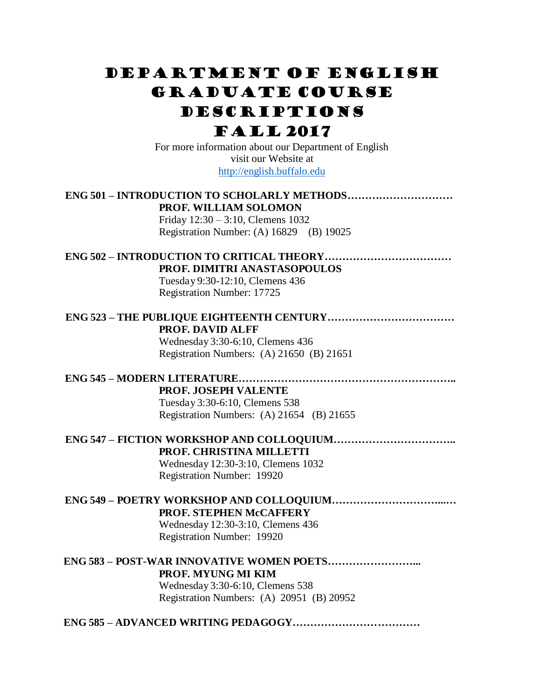# Department of English Graduate course descriptions

## Fall 2017

For more information about our Department of English visit our Website at [http://english.buffalo.edu](http://english.buffalo.edu/)

## **ENG 501 – INTRODUCTION TO SCHOLARLY METHODS………………………… PROF. WILLIAM SOLOMON**

Friday 12:30 – 3:10, Clemens 1032 Registration Number: (A) 16829 (B) 19025

## **ENG 502 – INTRODUCTION TO CRITICAL THEORY……………………………… PROF. DIMITRI ANASTASOPOULOS**

Tuesday 9:30-12:10, Clemens 436 Registration Number: 17725

## **ENG 523 – THE PUBLIQUE EIGHTEENTH CENTURY……………………………… PROF. DAVID ALFF**

Wednesday 3:30-6:10, Clemens 436 Registration Numbers: (A) 21650 (B) 21651

## **ENG 545 – MODERN LITERATURE……………………………………………………..**

**PROF. JOSEPH VALENTE**

Tuesday 3:30-6:10, Clemens 538 Registration Numbers: (A) 21654 (B) 21655

## **ENG 547 – FICTION WORKSHOP AND COLLOQUIUM……………………………..**

### **PROF. CHRISTINA MILLETTI**

Wednesday 12:30-3:10, Clemens 1032 Registration Number: 19920

## **ENG 549 – POETRY WORKSHOP AND COLLOQUIUM…………………………...… PROF. STEPHEN McCAFFERY**

Wednesday 12:30-3:10, Clemens 436 Registration Number: 19920

## **ENG 583 – POST-WAR INNOVATIVE WOMEN POETS……………………... PROF. MYUNG MI KIM** Wednesday 3:30-6:10, Clemens 538

Registration Numbers: (A) 20951 (B) 20952

## **ENG 585 – ADVANCED WRITING PEDAGOGY………………………………**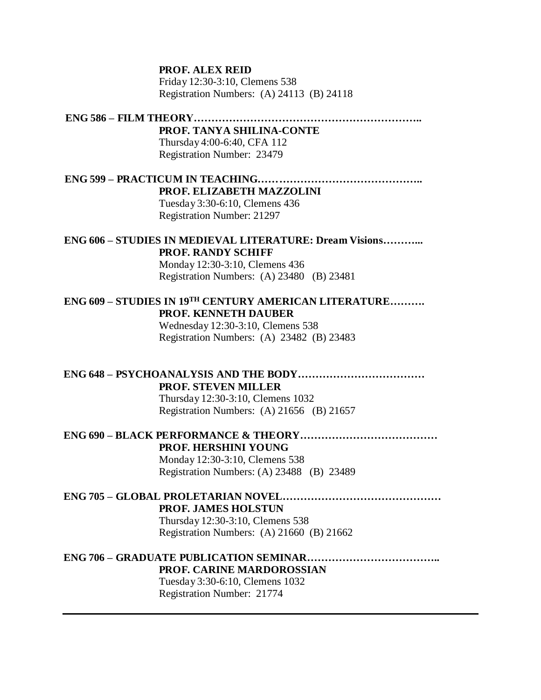#### **PROF. ALEX REID**

Friday 12:30-3:10, Clemens 538 Registration Numbers: (A) 24113 (B) 24118

**ENG 586 – FILM THEORY………………………………………………………..**

**PROF. TANYA SHILINA-CONTE** Thursday 4:00-6:40, CFA 112 Registration Number: 23479

**ENG 599 – PRACTICUM IN TEACHING……………………………………….. PROF. ELIZABETH MAZZOLINI**

Tuesday 3:30-6:10, Clemens 436 Registration Number: 21297

## **ENG 606 – STUDIES IN MEDIEVAL LITERATURE: Dream Visions………... PROF. RANDY SCHIFF**

Monday 12:30-3:10, Clemens 436 Registration Numbers: (A) 23480 (B) 23481

## **ENG 609 – STUDIES IN 19TH CENTURY AMERICAN LITERATURE………. PROF. KENNETH DAUBER**

Wednesday 12:30-3:10, Clemens 538 Registration Numbers: (A) 23482 (B) 23483

**ENG 648 – PSYCHOANALYSIS AND THE BODY……………………………… PROF. STEVEN MILLER** Thursday 12:30-3:10, Clemens 1032

Registration Numbers: (A) 21656 (B) 21657

#### **ENG 690 – BLACK PERFORMANCE & THEORY………………………………… PROF. HERSHINI YOUNG**

Monday 12:30-3:10, Clemens 538 Registration Numbers: (A) 23488 (B) 23489

## **ENG 705 – GLOBAL PROLETARIAN NOVEL……………………………………… PROF. JAMES HOLSTUN** Thursday 12:30-3:10, Clemens 538

Registration Numbers: (A) 21660 (B) 21662

## **ENG 706 – GRADUATE PUBLICATION SEMINAR……………………………….. PROF. CARINE MARDOROSSIAN**

Tuesday 3:30-6:10, Clemens 1032 Registration Number: 21774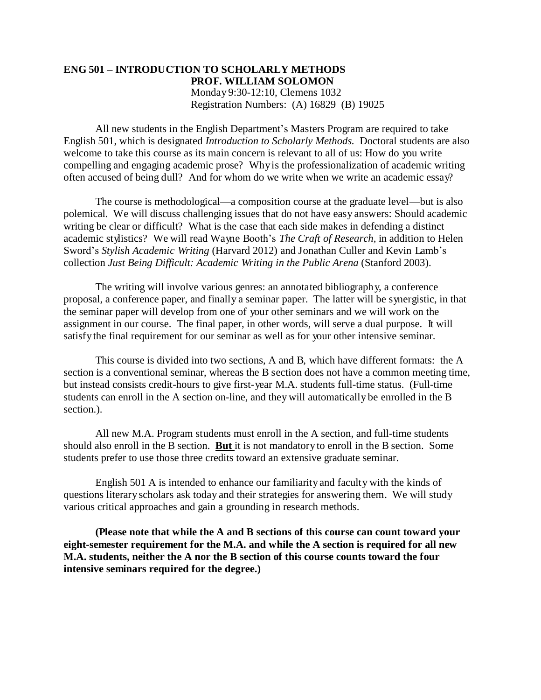#### **ENG 501 – INTRODUCTION TO SCHOLARLY METHODS PROF. WILLIAM SOLOMON**  Monday 9:30-12:10, Clemens 1032 Registration Numbers: (A) 16829 (B) 19025

All new students in the English Department's Masters Program are required to take English 501, which is designated *Introduction to Scholarly Methods.* Doctoral students are also welcome to take this course as its main concern is relevant to all of us: How do you write compelling and engaging academic prose? Whyis the professionalization of academic writing often accused of being dull? And for whom do we write when we write an academic essay?

The course is methodological—a composition course at the graduate level—but is also polemical. We will discuss challenging issues that do not have easy answers: Should academic writing be clear or difficult? What is the case that each side makes in defending a distinct academic stylistics? We will read Wayne Booth's *The Craft of Research,* in addition to Helen Sword's *Stylish Academic Writing* (Harvard 2012) and Jonathan Culler and Kevin Lamb's collection *Just Being Difficult: Academic Writing in the Public Arena* (Stanford 2003).

The writing will involve various genres: an annotated bibliography, a conference proposal, a conference paper, and finally a seminar paper. The latter will be synergistic, in that the seminar paper will develop from one of your other seminars and we will work on the assignment in our course. The final paper, in other words, will serve a dual purpose. It will satisfythe final requirement for our seminar as well as for your other intensive seminar.

This course is divided into two sections, A and B, which have different formats: the A section is a conventional seminar, whereas the B section does not have a common meeting time, but instead consists credit-hours to give first-year M.A. students full-time status. (Full-time students can enroll in the A section on-line, and they will automatically be enrolled in the B section.).

All new M.A. Program students must enroll in the A section, and full-time students should also enroll in the B section. **But** it is not mandatory to enroll in the B section. Some students prefer to use those three credits toward an extensive graduate seminar.

English 501 A is intended to enhance our familiarity and faculty with the kinds of questions literary scholars ask today and their strategies for answering them. We will study various critical approaches and gain a grounding in research methods.

**(Please note that while the A and B sections of this course can count toward your eight-semester requirement for the M.A. and while the A section is required for all new M.A. students, neither the A nor the B section of this course counts toward the four intensive seminars required for the degree.)**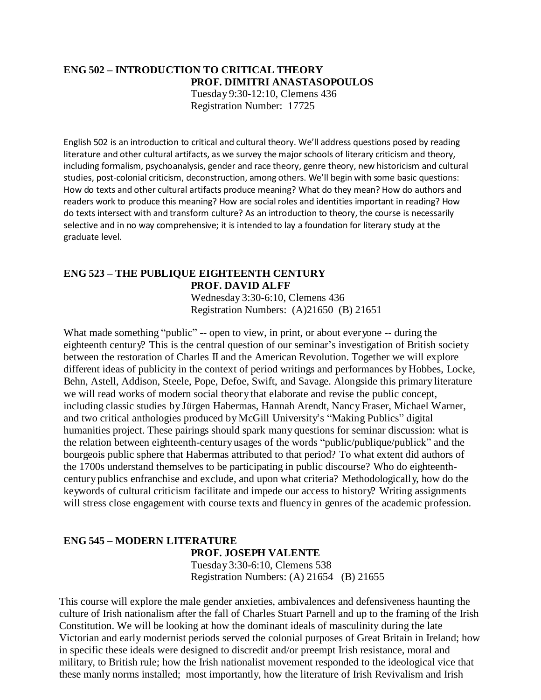## **ENG 502 – INTRODUCTION TO CRITICAL THEORY PROF. DIMITRI ANASTASOPOULOS**

Tuesday 9:30-12:10, Clemens 436 Registration Number: 17725

English 502 is an introduction to critical and cultural theory. We'll address questions posed by reading literature and other cultural artifacts, as we survey the major schools of literary criticism and theory, including formalism, psychoanalysis, gender and race theory, genre theory, new historicism and cultural studies, post-colonial criticism, deconstruction, among others. We'll begin with some basic questions: How do texts and other cultural artifacts produce meaning? What do they mean? How do authors and readers work to produce this meaning? How are social roles and identities important in reading? How do texts intersect with and transform culture? As an introduction to theory, the course is necessarily selective and in no way comprehensive; it is intended to lay a foundation for literary study at the graduate level.

## **ENG 523 – THE PUBLIQUE EIGHTEENTH CENTURY PROF. DAVID ALFF**

Wednesday 3:30-6:10, Clemens 436 Registration Numbers: (A)21650 (B) 21651

What made something "public" -- open to view, in print, or about everyone -- during the eighteenth century? This is the central question of our seminar's investigation of British society between the restoration of Charles II and the American Revolution. Together we will explore different ideas of publicity in the context of period writings and performances by Hobbes, Locke, Behn, Astell, Addison, Steele, Pope, Defoe, Swift, and Savage. Alongside this primary literature we will read works of modern social theory that elaborate and revise the public concept, including classic studies by Jürgen Habermas, Hannah Arendt, Nancy Fraser, Michael Warner, and two critical anthologies produced by McGill University's "Making Publics" digital humanities project. These pairings should spark many questions for seminar discussion: what is the relation between eighteenth-centuryusages of the words "public/publique/publick" and the bourgeois public sphere that Habermas attributed to that period? To what extent did authors of the 1700s understand themselves to be participating in public discourse? Who do eighteenthcentury publics enfranchise and exclude, and upon what criteria? Methodologically, how do the keywords of cultural criticism facilitate and impede our access to history? Writing assignments will stress close engagement with course texts and fluency in genres of the academic profession.

## **ENG 545 – MODERN LITERATURE PROF. JOSEPH VALENTE**

Tuesday 3:30-6:10, Clemens 538 Registration Numbers: (A) 21654 (B) 21655

This course will explore the male gender anxieties, ambivalences and defensiveness haunting the culture of Irish nationalism after the fall of Charles Stuart Parnell and up to the framing of the Irish Constitution. We will be looking at how the dominant ideals of masculinity during the late Victorian and early modernist periods served the colonial purposes of Great Britain in Ireland; how in specific these ideals were designed to discredit and/or preempt Irish resistance, moral and military, to British rule; how the Irish nationalist movement responded to the ideological vice that these manly norms installed; most importantly, how the literature of Irish Revivalism and Irish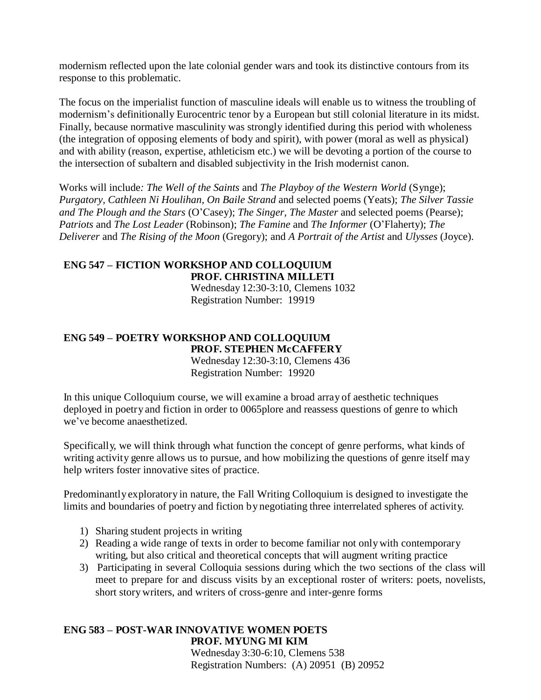modernism reflected upon the late colonial gender wars and took its distinctive contours from its response to this problematic.

The focus on the imperialist function of masculine ideals will enable us to witness the troubling of modernism's definitionally Eurocentric tenor by a European but still colonial literature in its midst. Finally, because normative masculinity was strongly identified during this period with wholeness (the integration of opposing elements of body and spirit), with power (moral as well as physical) and with ability (reason, expertise, athleticism etc.) we will be devoting a portion of the course to the intersection of subaltern and disabled subjectivity in the Irish modernist canon.

Works will include*: The Well of the Saints* and *The Playboy of the Western World* (Synge); *Purgatory, Cathleen Ni Houlihan, On Baile Strand* and selected poems (Yeats); *The Silver Tassie and The Plough and the Stars* (O'Casey); *The Singer, The Master* and selected poems (Pearse); *Patriots* and *The Lost Leader* (Robinson); *The Famine* and *The Informer* (O'Flaherty); *The Deliverer* and *The Rising of the Moon* (Gregory); and *A Portrait of the Artist* and *Ulysses* (Joyce).

## **ENG 547 – FICTION WORKSHOP AND COLLOQUIUM PROF. CHRISTINA MILLETI**

Wednesday 12:30-3:10, Clemens 1032 Registration Number: 19919

#### **ENG 549 – POETRY WORKSHOP AND COLLOQUIUM PROF. STEPHEN McCAFFERY**  Wednesday 12:30-3:10, Clemens 436 Registration Number: 19920

In this unique Colloquium course, we will examine a broad array of aesthetic techniques deployed in poetry and fiction in order to 0065plore and reassess questions of genre to which we've become anaesthetized.

Specifically, we will think through what function the concept of genre performs, what kinds of writing activity genre allows us to pursue, and how mobilizing the questions of genre itself may help writers foster innovative sites of practice.

Predominantly exploratory in nature, the Fall Writing Colloquium is designed to investigate the limits and boundaries of poetry and fiction by negotiating three interrelated spheres of activity.

- 1) Sharing student projects in writing
- 2) Reading a wide range of texts in order to become familiar not onlywith contemporary writing, but also critical and theoretical concepts that will augment writing practice
- 3) Participating in several Colloquia sessions during which the two sections of the class will meet to prepare for and discuss visits by an exceptional roster of writers: poets, novelists, short story writers, and writers of cross-genre and inter-genre forms

### **ENG 583 – POST-WAR INNOVATIVE WOMEN POETS PROF. MYUNG MI KIM**  Wednesday 3:30-6:10, Clemens 538

Registration Numbers: (A) 20951 (B) 20952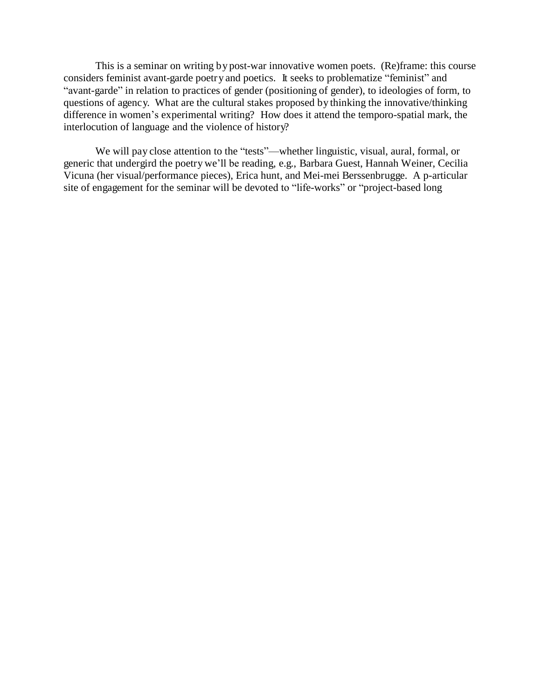This is a seminar on writing by post-war innovative women poets. (Re)frame: this course considers feminist avant-garde poetry and poetics. It seeks to problematize "feminist" and "avant-garde" in relation to practices of gender (positioning of gender), to ideologies of form, to questions of agency. What are the cultural stakes proposed by thinking the innovative/thinking difference in women's experimental writing? How does it attend the temporo-spatial mark, the interlocution of language and the violence of history?

We will pay close attention to the "tests"—whether linguistic, visual, aural, formal, or generic that undergird the poetry we'll be reading, e.g., Barbara Guest, Hannah Weiner, Cecilia Vicuna (her visual/performance pieces), Erica hunt, and Mei-mei Berssenbrugge. A p-articular site of engagement for the seminar will be devoted to "life-works" or "project-based long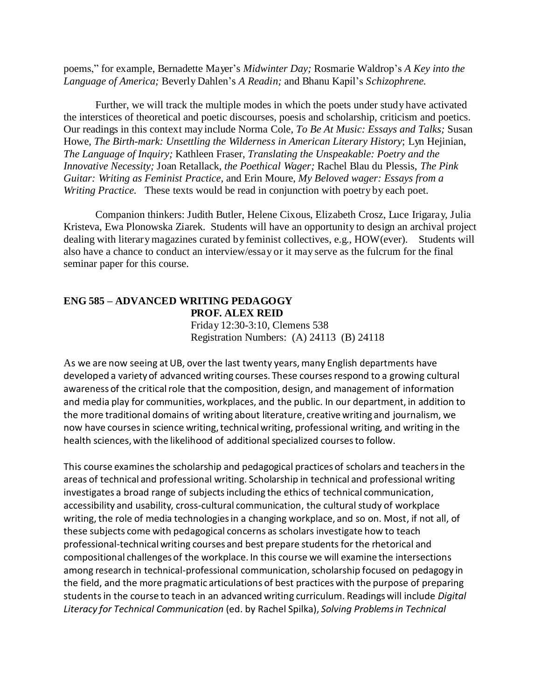poems," for example, Bernadette Mayer's *Midwinter Day;* Rosmarie Waldrop's *A Key into the Language of America;* Beverly Dahlen's *A Readin;* and Bhanu Kapil's *Schizophrene.*

Further, we will track the multiple modes in which the poets under study have activated the interstices of theoretical and poetic discourses, poesis and scholarship, criticism and poetics. Our readings in this context may include Norma Cole, *To Be At Music: Essays and Talks;* Susan Howe, *The Birth-mark: Unsettling the Wilderness in American Literary History*; Lyn Hejinian, *The Language of Inquiry;* Kathleen Fraser, *Translating the Unspeakable: Poetry and the Innovative Necessity;* Joan Retallack, *the Poethical Wager;* Rachel Blau du Plessis, *The Pink Guitar: Writing as Feminist Practice,* and Erin Moure, *My Beloved wager: Essays from a Writing Practice.* These texts would be read in conjunction with poetry by each poet.

Companion thinkers: Judith Butler, Helene Cixous, Elizabeth Crosz, Luce Irigaray, Julia Kristeva, Ewa Plonowska Ziarek. Students will have an opportunity to design an archival project dealing with literary magazines curated by feminist collectives, e.g., HOW(ever). Students will also have a chance to conduct an interview/essay or it may serve as the fulcrum for the final seminar paper for this course.

## **ENG 585 – ADVANCED WRITING PEDAGOGY PROF. ALEX REID** Friday 12:30-3:10, Clemens 538 Registration Numbers: (A) 24113 (B) 24118

As we are now seeing at UB, over the last twenty years, many English departments have developed a variety of advanced writing courses. These coursesrespond to a growing cultural awareness of the critical role that the composition, design, and management of information and media play for communities, workplaces, and the public. In our department, in addition to the more traditional domains of writing about literature, creative writing and journalism, we now have courses in science writing, technical writing, professional writing, and writing in the health sciences,with the likelihood of additional specialized coursesto follow.

This course examinesthe scholarship and pedagogical practices of scholars and teachersin the areas of technical and professional writing. Scholarship in technical and professional writing investigates a broad range of subjects including the ethics of technical communication, accessibility and usability, cross-cultural communication, the cultural study of workplace writing, the role of media technologiesin a changing workplace, and so on. Most, if not all, of these subjects come with pedagogical concerns as scholars investigate how to teach professional-technical writing courses and best prepare students for the rhetorical and compositional challenges of the workplace. In this course we will examine the intersections among research in technical-professional communication, scholarship focused on pedagogy in the field, and the more pragmatic articulations of best practices with the purpose of preparing studentsin the course to teach in an advanced writing curriculum. Readings will include *Digital Literacy for Technical Communication* (ed. by Rachel Spilka), *Solving Problemsin Technical*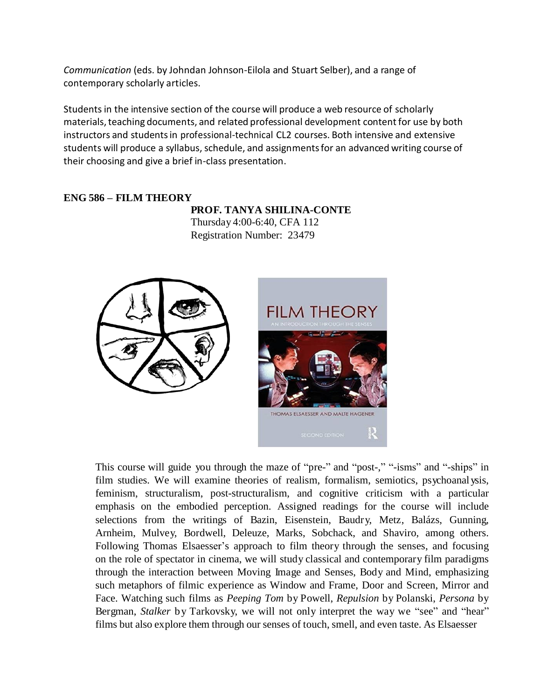*Communication* (eds. by Johndan Johnson-Eilola and Stuart Selber), and a range of contemporary scholarly articles.

Students in the intensive section of the course will produce a web resource of scholarly materials, teaching documents, and related professional development content for use by both instructors and studentsin professional-technical CL2 courses. Both intensive and extensive students will produce a syllabus, schedule, and assignments for an advanced writing course of their choosing and give a brief in-class presentation.

## **ENG 586 – FILM THEORY**

**PROF. TANYA SHILINA-CONTE** Thursday 4:00-6:40, CFA 112 Registration Number: 23479





This course will guide you through the maze of "pre-" and "post-," "-isms" and "-ships" in film studies. We will examine theories of realism, formalism, semiotics, psychoanalysis, feminism, structuralism, post-structuralism, and cognitive criticism with a particular emphasis on the embodied perception. Assigned readings for the course will include selections from the writings of Bazin, Eisenstein, Baudry, Metz, Balázs, Gunning, Arnheim, Mulvey, Bordwell, Deleuze, Marks, Sobchack, and Shaviro, among others. Following Thomas Elsaesser's approach to film theory through the senses, and focusing on the role of spectator in cinema, we will study classical and contemporary film paradigms through the interaction between Moving Image and Senses, Body and Mind, emphasizing such metaphors of filmic experience as Window and Frame, Door and Screen, Mirror and Face. Watching such films as *Peeping Tom* by Powell, *Repulsion* by Polanski, *Persona* by Bergman, *Stalker* by Tarkovsky, we will not only interpret the way we "see" and "hear" films but also explore them through our senses of touch, smell, and even taste. As Elsaesser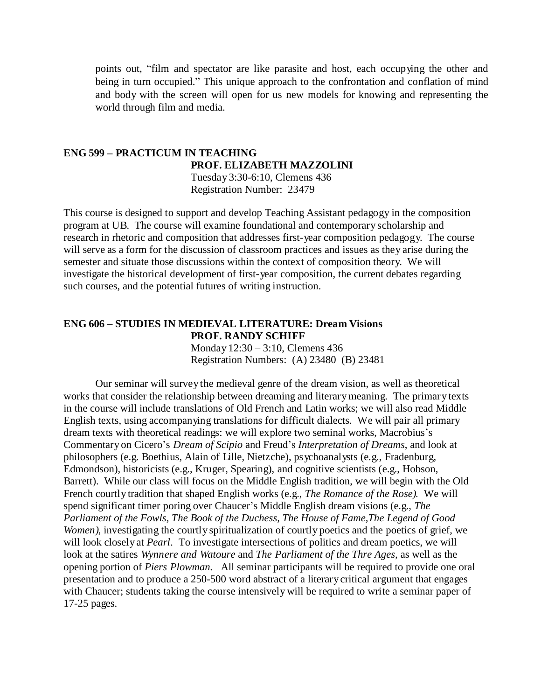points out, "film and spectator are like parasite and host, each occupying the other and being in turn occupied." This unique approach to the confrontation and conflation of mind and body with the screen will open for us new models for knowing and representing the world through film and media.

#### **ENG 599 – PRACTICUM IN TEACHING PROF. ELIZABETH MAZZOLINI** Tuesday 3:30-6:10, Clemens 436

Registration Number: 23479

This course is designed to support and develop Teaching Assistant pedagogy in the composition program at UB. The course will examine foundational and contemporary scholarship and research in rhetoric and composition that addresses first-year composition pedagogy. The course will serve as a form for the discussion of classroom practices and issues as they arise during the semester and situate those discussions within the context of composition theory. We will investigate the historical development of first-year composition, the current debates regarding such courses, and the potential futures of writing instruction.

#### **ENG 606 – STUDIES IN MEDIEVAL LITERATURE: Dream Visions PROF. RANDY SCHIFF**

Monday 12:30 – 3:10, Clemens 436 Registration Numbers: (A) 23480 (B) 23481

Our seminar will survey the medieval genre of the dream vision, as well as theoretical works that consider the relationship between dreaming and literarymeaning. The primary texts in the course will include translations of Old French and Latin works; we will also read Middle English texts, using accompanying translations for difficult dialects. We will pair all primary dream texts with theoretical readings: we will explore two seminal works, Macrobius's Commentary on Cicero's *Dream of Scipio* and Freud's *Interpretation of Dreams*, and look at philosophers (e.g. Boethius, Alain of Lille, Nietzche), psychoanalysts (e.g., Fradenburg, Edmondson), historicists (e.g., Kruger, Spearing), and cognitive scientists (e.g., Hobson, Barrett). While our class will focus on the Middle English tradition, we will begin with the Old French courtly tradition that shaped English works (e.g., *The Romance of the Rose).* We will spend significant timer poring over Chaucer's Middle English dream visions (e.g., *The Parliament of the Fowls, The Book of the Duchess, The House of Fame,The Legend of Good Women*), investigating the courtly spiritualization of courtly poetics and the poetics of grief, we will look closely at *Pearl*. To investigate intersections of politics and dream poetics, we will look at the satires *Wynnere and Watoure* and *The Parliament of the Thre Ages,* as well as the opening portion of *Piers Plowman.* All seminar participants will be required to provide one oral presentation and to produce a 250-500 word abstract of a literary critical argument that engages with Chaucer; students taking the course intensively will be required to write a seminar paper of 17-25 pages.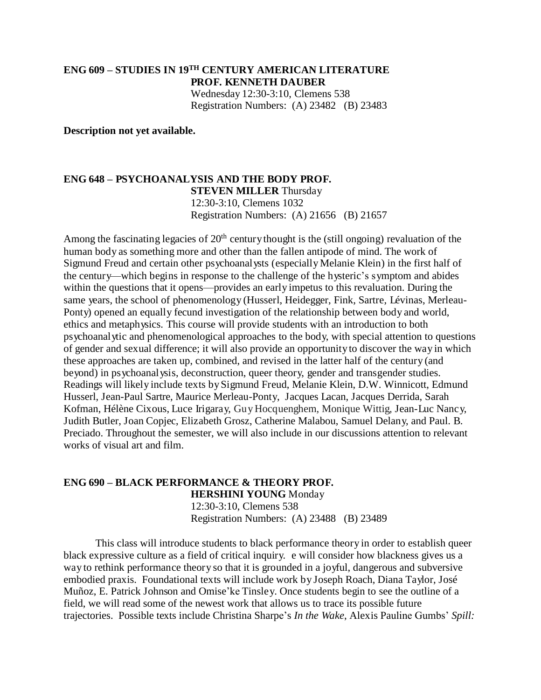## **ENG 609 – STUDIES IN 19TH CENTURY AMERICAN LITERATURE PROF. KENNETH DAUBER** Wednesday 12:30-3:10, Clemens 538 Registration Numbers: (A) 23482 (B) 23483

**Description not yet available.**

#### **ENG 648 – PSYCHOANALYSIS AND THE BODY PROF. STEVEN MILLER** Thursday 12:30-3:10, Clemens 1032 Registration Numbers: (A) 21656 (B) 21657

Among the fascinating legacies of  $20<sup>th</sup>$  century thought is the (still ongoing) revaluation of the human body as something more and other than the fallen antipode of mind. The work of Sigmund Freud and certain other psychoanalysts (especially Melanie Klein) in the first half of the century—which begins in response to the challenge of the hysteric's symptom and abides within the questions that it opens—provides an early impetus to this revaluation. During the same years, the school of phenomenology (Husserl, Heidegger, Fink, Sartre, Lévinas, Merleau-Ponty) opened an equally fecund investigation of the relationship between body and world, ethics and metaphysics. This course will provide students with an introduction to both psychoanalytic and phenomenological approaches to the body, with special attention to questions of gender and sexual difference; it will also provide an opportunity to discover the way in which these approaches are taken up, combined, and revised in the latter half of the century (and beyond) in psychoanalysis, deconstruction, queer theory, gender and transgender studies. Readings will likely include texts bySigmund Freud, Melanie Klein, D.W. Winnicott, Edmund Husserl, Jean-Paul Sartre, Maurice Merleau-Ponty, Jacques Lacan, Jacques Derrida, Sarah Kofman, Hélène Cixous, Luce Irigaray, Guy Hocquenghem, Monique Wittig, Jean-Luc Nancy, Judith Butler, Joan Copjec, Elizabeth Grosz, Catherine Malabou, Samuel Delany, and Paul. B. Preciado. Throughout the semester, we will also include in our discussions attention to relevant works of visual art and film.

#### **ENG 690 – BLACK PERFORMANCE & THEORY PROF. HERSHINI YOUNG** Monday 12:30-3:10, Clemens 538 Registration Numbers: (A) 23488 (B) 23489

This class will introduce students to black performance theory in order to establish queer black expressive culture as a field of critical inquiry. e will consider how blackness gives us a way to rethink performance theory so that it is grounded in a joyful, dangerous and subversive embodied praxis. Foundational texts will include work by Joseph Roach, Diana Taylor, José Muñoz, E. Patrick Johnson and Omise'ke Tinsley. Once students begin to see the outline of a field, we will read some of the newest work that allows us to trace its possible future trajectories. Possible texts include Christina Sharpe's *In the Wake*, Alexis Pauline Gumbs' *Spill:*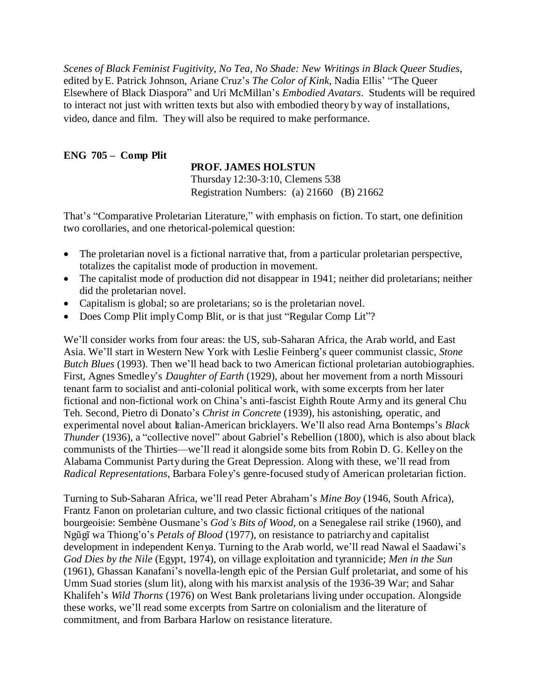*Scenes of Black Feminist Fugitivity*, *No Tea, No Shade: New Writings in Black Queer Studies*, edited byE. Patrick Johnson, Ariane Cruz's *The Color of Kink*, Nadia Ellis' "The Queer Elsewhere of Black Diaspora" and Uri McMillan's *Embodied Avatars*. Students will be required to interact not just with written texts but also with embodied theory by way of installations, video, dance and film. They will also be required to make performance.

## **ENG 705 – Comp Plit**

## **PROF. JAMES HOLSTUN**

Thursday 12:30-3:10, Clemens 538 Registration Numbers: (a) 21660 (B) 21662

That's "Comparative Proletarian Literature," with emphasis on fiction. To start, one definition two corollaries, and one rhetorical-polemical question:

- The proletarian novel is a fictional narrative that, from a particular proletarian perspective, totalizes the capitalist mode of production in movement.
- The capitalist mode of production did not disappear in 1941; neither did proletarians; neither did the proletarian novel.
- Capitalism is global; so are proletarians; so is the proletarian novel.
- Does Comp Plit imply Comp Blit, or is that just "Regular Comp Lit"?

We'll consider works from four areas: the US, sub-Saharan Africa, the Arab world, and East Asia. We'll start in Western New York with Leslie Feinberg's queer communist classic, *Stone Butch Blues* (1993). Then we'll head back to two American fictional proletarian autobiographies. First, Agnes Smedley's *Daughter of Earth* (1929), about her movement from a north Missouri tenant farm to socialist and anti-colonial political work, with some excerpts from her later fictional and non-fictional work on China's anti-fascist Eighth Route Army and its general Chu Teh. Second, Pietro di Donato's *Christ in Concrete* (1939), his astonishing, operatic, and experimental novel about Italian-American bricklayers. We'll also read Arna Bontemps's *Black Thunder* (1936), a "collective novel" about Gabriel's Rebellion (1800), which is also about black communists of the Thirties—we'll read it alongside some bits from Robin D. G. Kelley on the Alabama Communist Party during the Great Depression. Along with these, we'll read from *Radical Representations*, Barbara Foley's genre-focused study of American proletarian fiction.

Turning to Sub-Saharan Africa, we'll read Peter Abraham's *Mine Boy* (1946, South Africa), Frantz Fanon on proletarian culture, and two classic fictional critiques of the national bourgeoisie: Sembène Ousmane's *God's Bits of Wood*, on a Senegalese rail strike (1960), and Ngũgĩ wa Thiong'o's *Petals of Blood* (1977), on resistance to patriarchy and capitalist development in independent Kenya. Turning to the Arab world, we'll read Nawal el Saadawi's *God Dies by the Nile* (Egypt, 1974), on village exploitation and tyrannicide; *Men in the Sun*  (1961), Ghassan Kanafani's novella-length epic of the Persian Gulf proletariat, and some of his Umm Suad stories (slum lit), along with his marxist analysis of the 1936-39 War; and Sahar Khalifeh's *Wild Thorns* (1976) on West Bank proletarians living under occupation. Alongside these works, we'll read some excerpts from Sartre on colonialism and the literature of commitment, and from Barbara Harlow on resistance literature.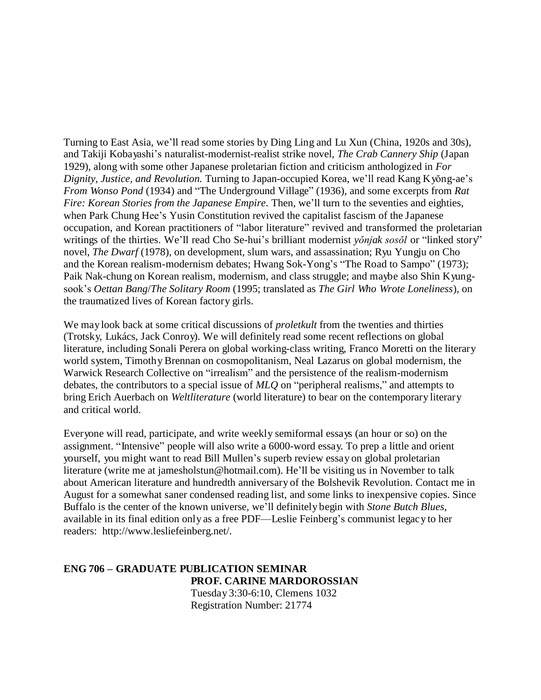Turning to East Asia, we'll read some stories by Ding Ling and Lu Xun (China, 1920s and 30s), and Takiji Kobayashi's naturalist-modernist-realist strike novel, *The Crab Cannery Ship* (Japan 1929), along with some other Japanese proletarian fiction and criticism anthologized in *For Dignity, Justice, and Revolution.* Turning to Japan-occupied Korea, we'll read Kang Kyŏng-ae's *From Wonso Pond* (1934) and "The Underground Village" (1936), and some excerpts from *Rat Fire: Korean Stories from the Japanese Empire*. Then, we'll turn to the seventies and eighties, when Park Chung Hee's Yusin Constitution revived the capitalist fascism of the Japanese occupation, and Korean practitioners of "labor literature" revived and transformed the proletarian writings of the thirties. We'll read Cho Se-hui's brilliant modernist *yŏnjak sosŏl* or "linked story" novel, *The Dwarf* (1978), on development, slum wars, and assassination; Ryu Yungju on Cho and the Korean realism-modernism debates; Hwang Sok-Yong's "The Road to Sampo" (1973); Paik Nak-chung on Korean realism, modernism, and class struggle; and maybe also Shin Kyungsook's *Oettan Bang*/*The Solitary Room* (1995; translated as *The Girl Who Wrote Loneliness*), on the traumatized lives of Korean factory girls.

We may look back at some critical discussions of *proletkult* from the twenties and thirties (Trotsky, Lukács, Jack Conroy). We will definitely read some recent reflections on global literature, including Sonali Perera on global working-class writing, Franco Moretti on the literary world system, Timothy Brennan on cosmopolitanism, Neal Lazarus on global modernism, the Warwick Research Collective on "irrealism" and the persistence of the realism-modernism debates, the contributors to a special issue of *MLQ* on "peripheral realisms," and attempts to bring Erich Auerbach on *Weltliterature* (world literature) to bear on the contemporary literary and critical world.

Everyone will read, participate, and write weekly semiformal essays (an hour or so) on the assignment. "Intensive" people will also write a 6000-word essay. To prep a little and orient yourself, you might want to read Bill Mullen's superb review essay on global proletarian literature (write me at jamesholstun@hotmail.com). He'll be visiting us in November to talk about American literature and hundredth anniversary of the Bolshevik Revolution. Contact me in August for a somewhat saner condensed reading list, and some links to inexpensive copies. Since Buffalo is the center of the known universe, we'll definitely begin with *Stone Butch Blues*, available in its final edition only as a free PDF—Leslie Feinberg's communist legacy to her read[ers: http://www.lesliefeinberg.net/.](http://www.lesliefeinberg.net/)

## **ENG 706 – GRADUATE PUBLICATION SEMINAR PROF. CARINE MARDOROSSIAN** Tuesday 3:30-6:10, Clemens 1032 Registration Number: 21774